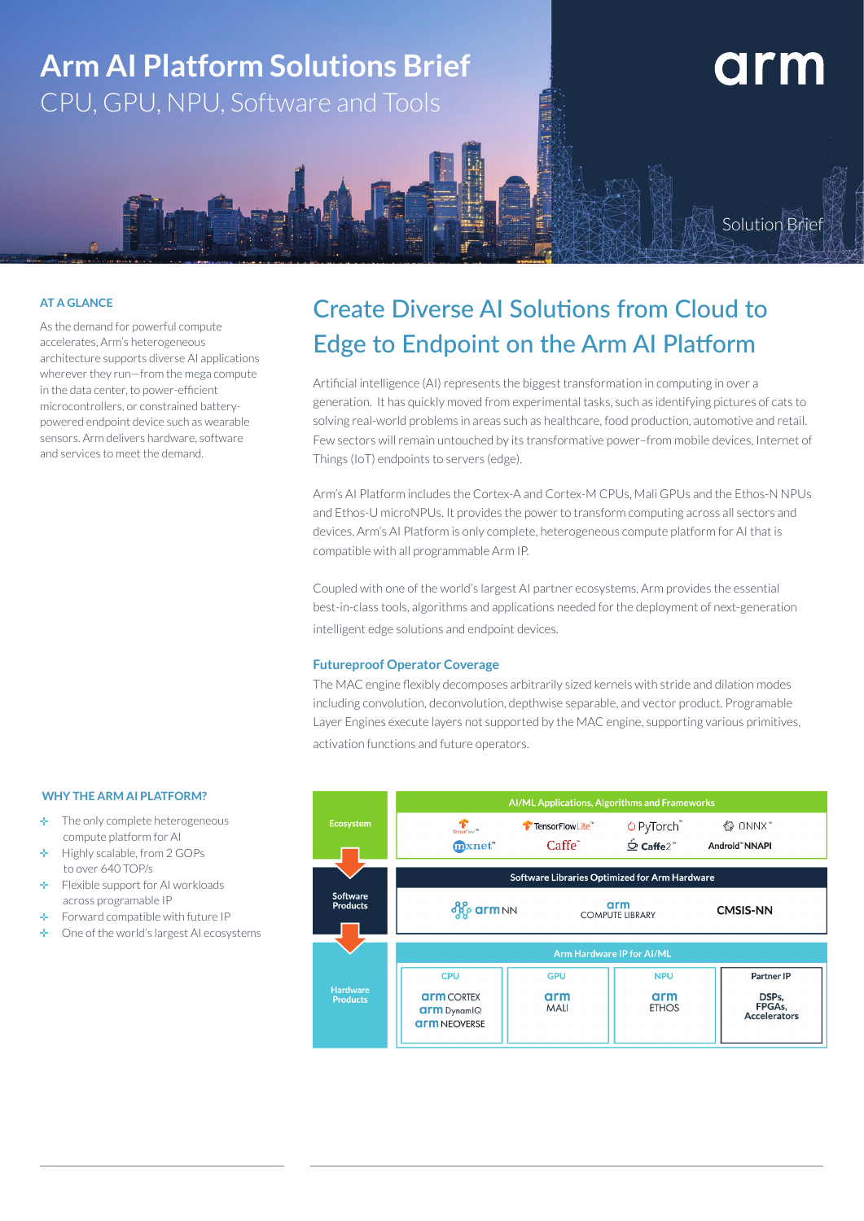

### **AT A GLANCE**

As the demand for powerful compute accelerates, Arm's heterogeneous architecture supports diverse AI applications wherever they run—from the mega compute in the data center, to power-efficient microcontrollers, or constrained batterypowered endpoint device such as wearable sensors. Arm delivers hardware, software and services to meet the demand.

# Create Diverse AI Solutions from Cloud to Edge to Endpoint on the Arm AI Platform

Artificial intelligence (AI) represents the biggest transformation in computing in over a generation. It has quickly moved from experimental tasks, such as identifying pictures of cats to solving real-world problems in areas such as healthcare, food production, automotive and retail. Few sectors will remain untouched by its transformative power–from mobile devices, Internet of Things (IoT) endpoints to servers (edge).

Arm's AI Platform includes the Cortex-A and Cortex-M CPUs, Mali GPUs and the Ethos-N NPUs and Ethos-U microNPUs. It provides the power to transform computing across all sectors and devices. Arm's AI Platform is only complete, heterogeneous compute platform for AI that is compatible with all programmable Arm IP.

Coupled with one of the world's largest AI partner ecosystems, Arm provides the essential best-in-class tools, algorithms and applications needed for the deployment of next-generation intelligent edge solutions and endpoint devices.

### **Futureproof Operator Coverage**

The MAC engine flexibly decomposes arbitrarily sized kernels with stride and dilation modes including convolution, deconvolution, depthwise separable, and vector product. Programable Layer Engines execute layers not supported by the MAC engine, supporting various primitives, activation functions and future operators.



#### **WHY THE ARM AI PLATFORM?**

- $\ddot{\phantom{a}}$  The only complete heterogeneous compute platform for AI
- Highly scalable, from 2 GOPs to over 640 TOP/s
- á. Flexible support for AI workloads across programable IP
- Forward compatible with future IP
- a. One of the world's largest AI ecosystems